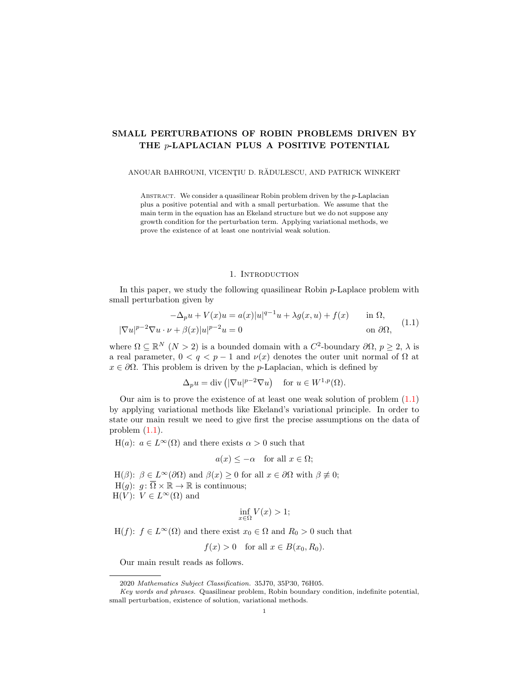# SMALL PERTURBATIONS OF ROBIN PROBLEMS DRIVEN BY THE p-LAPLACIAN PLUS A POSITIVE POTENTIAL

ANOUAR BAHROUNI, VICENȚIU D. RĂDULESCU, AND PATRICK WINKERT

ABSTRACT. We consider a quasilinear Robin problem driven by the  $p$ -Laplacian plus a positive potential and with a small perturbation. We assume that the main term in the equation has an Ekeland structure but we do not suppose any growth condition for the perturbation term. Applying variational methods, we prove the existence of at least one nontrivial weak solution.

# <span id="page-0-0"></span>1. INTRODUCTION

In this paper, we study the following quasilinear Robin p-Laplace problem with small perturbation given by

$$
-\Delta_p u + V(x)u = a(x)|u|^{q-1}u + \lambda g(x, u) + f(x) \quad \text{in } \Omega,
$$
  

$$
|\nabla u|^{p-2}\nabla u \cdot \nu + \beta(x)|u|^{p-2}u = 0 \quad \text{on } \partial\Omega,
$$
 (1.1)

where  $\Omega \subseteq \mathbb{R}^N$   $(N > 2)$  is a bounded domain with a  $C^2$ -boundary  $\partial \Omega$ ,  $p \geq 2$ ,  $\lambda$  is a real parameter,  $0 < q < p - 1$  and  $\nu(x)$  denotes the outer unit normal of  $\Omega$  at  $x \in \partial\Omega$ . This problem is driven by the *p*-Laplacian, which is defined by

$$
\Delta_p u = \text{div}\left( |\nabla u|^{p-2} \nabla u \right) \quad \text{for } u \in W^{1,p}(\Omega).
$$

Our aim is to prove the existence of at least one weak solution of problem  $(1.1)$ by applying variational methods like Ekeland's variational principle. In order to state our main result we need to give first the precise assumptions on the data of problem  $(1.1)$ .

H(a):  $a \in L^{\infty}(\Omega)$  and there exists  $\alpha > 0$  such that

$$
a(x) \le -\alpha \quad \text{for all } x \in \Omega;
$$

H( $\beta$ ):  $\beta \in L^{\infty}(\partial \Omega)$  and  $\beta(x) \geq 0$  for all  $x \in \partial \Omega$  with  $\beta \not\equiv 0$ ;  $H(q)$ :  $q: \overline{\Omega} \times \mathbb{R} \to \mathbb{R}$  is continuous;  $H(V)$ :  $V \in L^{\infty}(\Omega)$  and

$$
\inf_{x \in \Omega} V(x) > 1;
$$

H(f):  $f \in L^{\infty}(\Omega)$  and there exist  $x_0 \in \Omega$  and  $R_0 > 0$  such that

$$
f(x) > 0 \quad \text{for all } x \in B(x_0, R_0).
$$

Our main result reads as follows.

<sup>2020</sup> Mathematics Subject Classification. 35J70, 35P30, 76H05.

Key words and phrases. Quasilinear problem, Robin boundary condition, indefinite potential, small perturbation, existence of solution, variational methods.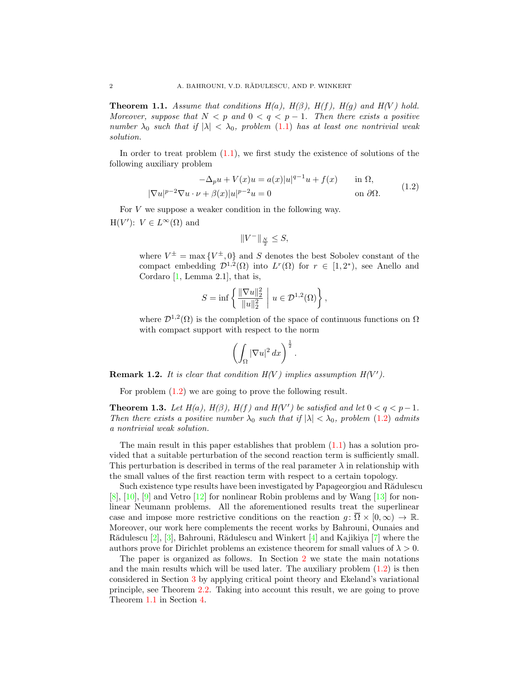<span id="page-1-1"></span>**Theorem 1.1.** Assume that conditions  $H(a)$ ,  $H(\beta)$ ,  $H(f)$ ,  $H(g)$  and  $H(V)$  hold. Moreover, suppose that  $N < p$  and  $0 < q < p - 1$ . Then there exists a positive number  $\lambda_0$  such that if  $|\lambda| < \lambda_0$ , problem [\(1.1\)](#page-0-0) has at least one nontrivial weak solution.

In order to treat problem  $(1.1)$ , we first study the existence of solutions of the following auxiliary problem

$$
-\Delta_p u + V(x)u = a(x)|u|^{q-1}u + f(x) \quad \text{in } \Omega,
$$
  

$$
|\nabla u|^{p-2}\nabla u \cdot \nu + \beta(x)|u|^{p-2}u = 0 \quad \text{on } \partial\Omega.
$$
 (1.2)

For V we suppose a weaker condition in the following way.  $H(V')$ :  $V \in L^{\infty}(\Omega)$  and

<span id="page-1-0"></span>
$$
||V^-||_{\frac{N}{2}} \leq S,
$$

where  $V^{\pm} = \max \{ V^{\pm}, 0 \}$  and S denotes the best Sobolev constant of the compact embedding  $\mathcal{D}^{1,2}(\Omega)$  into  $L^r(\Omega)$  for  $r \in [1,2^*)$ , see Anello and Cordaro  $[1, \text{Lemma } 2.1],$  $[1, \text{Lemma } 2.1],$  that is,

$$
S = \inf \left\{ \frac{\|\nabla u\|_2^2}{\|u\|_2^2} \; \middle| \; u \in \mathcal{D}^{1,2}(\Omega) \right\},\
$$

where  $\mathcal{D}^{1,2}(\Omega)$  is the completion of the space of continuous functions on  $\Omega$ with compact support with respect to the norm

$$
\left(\int_{\Omega}|\nabla u|^2\,dx\right)^{\frac{1}{2}}.
$$

**Remark 1.2.** It is clear that condition  $H(V)$  implies assumption  $H(V')$ .

For problem  $(1.2)$  we are going to prove the following result.

<span id="page-1-2"></span>**Theorem 1.3.** Let  $H(a)$ ,  $H(\beta)$ ,  $H(f)$  and  $H(V')$  be satisfied and let  $0 < q < p-1$ . Then there exists a positive number  $\lambda_0$  such that if  $|\lambda| < \lambda_0$ , problem [\(1.2\)](#page-1-0) admits a nontrivial weak solution.

The main result in this paper establishes that problem  $(1.1)$  has a solution provided that a suitable perturbation of the second reaction term is sufficiently small. This perturbation is described in terms of the real parameter  $\lambda$  in relationship with the small values of the first reaction term with respect to a certain topology.

Such existence type results have been investigated by Papageorgiou and Rădulescu [\[8\]](#page-8-1), [\[10\]](#page-9-0), [\[9\]](#page-8-2) and Vetro [\[12\]](#page-9-1) for nonlinear Robin problems and by Wang [\[13\]](#page-9-2) for nonlinear Neumann problems. All the aforementioned results treat the superlinear case and impose more restrictive conditions on the reaction  $q: \overline{\Omega} \times [0, \infty) \to \mathbb{R}$ . Moreover, our work here complements the recent works by Bahrouni, Ounaies and Rădulescu [\[2\]](#page-8-3), [\[3\]](#page-8-4), Bahrouni, Rădulescu and Winkert [\[4\]](#page-8-5) and Kajikiya [\[7\]](#page-8-6) where the authors prove for Dirichlet problems an existence theorem for small values of  $\lambda > 0$ .

The paper is organized as follows. In Section [2](#page-2-0) we state the main notations and the main results which will be used later. The auxiliary problem  $(1.2)$  is then considered in Section [3](#page-3-0) by applying critical point theory and Ekeland's variational principle, see Theorem [2.2.](#page-2-1) Taking into account this result, we are going to prove Theorem [1.1](#page-1-1) in Section [4.](#page-6-0)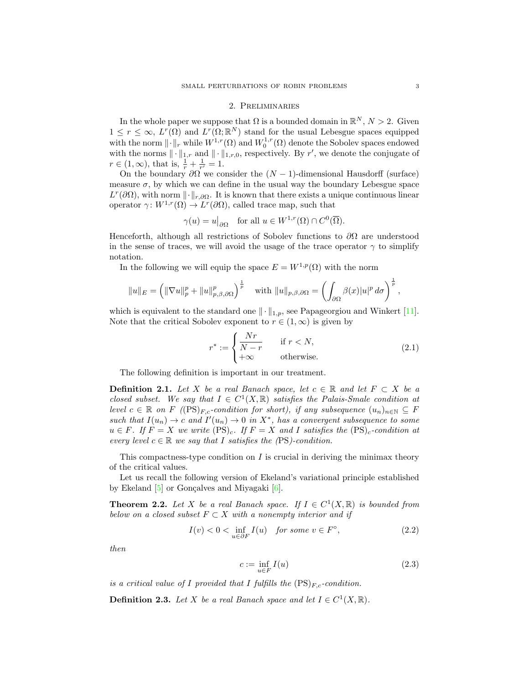### 2. Preliminaries

<span id="page-2-0"></span>In the whole paper we suppose that  $\Omega$  is a bounded domain in  $\mathbb{R}^N$ ,  $N > 2$ . Given  $1 \leq r \leq \infty$ ,  $L^r(\Omega)$  and  $L^r(\Omega;\mathbb{R}^N)$  stand for the usual Lebesgue spaces equipped with the norm  $\|\cdot\|_r$  while  $W^{1,r}(\Omega)$  and  $W^{1,r}_0(\Omega)$  denote the Sobolev spaces endowed with the norms  $\|\cdot\|_{1,r}$  and  $\|\cdot\|_{1,r,0}$ , respectively. By r', we denote the conjugate of  $r \in (1, \infty)$ , that is,  $\frac{1}{r} + \frac{1}{r'} = 1$ .

On the boundary  $\partial\Omega$  we consider the  $(N-1)$ -dimensional Hausdorff (surface) measure  $\sigma$ , by which we can define in the usual way the boundary Lebesgue space  $L^r(\partial\Omega)$ , with norm  $\lVert \cdot \rVert_{r,\partial\Omega}$ . It is known that there exists a unique continuous linear operator  $\gamma: W^{1,r}(\Omega) \to L^r(\partial\Omega)$ , called trace map, such that

$$
\gamma(u) = u|_{\partial\Omega}
$$
 for all  $u \in W^{1,r}(\Omega) \cap C^0(\overline{\Omega})$ .

Henceforth, although all restrictions of Sobolev functions to  $\partial\Omega$  are understood in the sense of traces, we will avoid the usage of the trace operator  $\gamma$  to simplify notation.

In the following we will equip the space  $E = W^{1,p}(\Omega)$  with the norm

$$
||u||_E = \left( \|\nabla u\|_p^p + \|u\|_{p,\beta,\partial\Omega}^p \right)^{\frac{1}{p}} \quad \text{with } ||u||_{p,\beta,\partial\Omega} = \left( \int_{\partial\Omega} \beta(x)|u|^p \, d\sigma \right)^{\frac{1}{p}},
$$

which is equivalent to the standard one  $\|\cdot\|_{1,p}$ , see Papageorgiou and Winkert [\[11\]](#page-9-3). Note that the critical Sobolev exponent to  $r \in (1,\infty)$  is given by

<span id="page-2-4"></span>
$$
r^* := \begin{cases} \frac{Nr}{N-r} & \text{if } r < N, \\ +\infty & \text{otherwise.} \end{cases} \tag{2.1}
$$

The following definition is important in our treatment.

**Definition 2.1.** Let X be a real Banach space, let  $c \in \mathbb{R}$  and let  $F \subset X$  be a closed subset. We say that  $I \in C^1(X,\mathbb{R})$  satisfies the Palais-Smale condition at level  $c \in \mathbb{R}$  on F ((PS)<sub>Fc</sub>-condition for short), if any subsequence  $(u_n)_{n\in\mathbb{N}}$  ⊂ F such that  $I(u_n) \to c$  and  $I'(u_n) \to 0$  in  $X^*$ , has a convergent subsequence to some  $u \in F$ . If  $F = X$  we write  $(PS)_c$ . If  $F = X$  and I satisfies the  $(PS)_c$ -condition at every level  $c \in \mathbb{R}$  we say that I satisfies the (PS)-condition.

This compactness-type condition on  $I$  is crucial in deriving the minimax theory of the critical values.

Let us recall the following version of Ekeland's variational principle established by Ekeland  $[5]$  or Gonçalves and Miyagaki  $[6]$ .

<span id="page-2-1"></span>**Theorem 2.2.** Let X be a real Banach space. If  $I \in C^1(X, \mathbb{R})$  is bounded from below on a closed subset  $F \subset X$  with a nonempty interior and if

$$
I(v) < 0 < \inf_{u \in \partial F} I(u) \quad \text{for some } v \in F^{\circ}, \tag{2.2}
$$

then

<span id="page-2-3"></span><span id="page-2-2"></span>
$$
c := \inf_{u \in F} I(u) \tag{2.3}
$$

is a critical value of I provided that I fulfills the  $(PS)_{F,c}$ -condition.

**Definition 2.3.** Let X be a real Banach space and let  $I \in C^1(X, \mathbb{R})$ .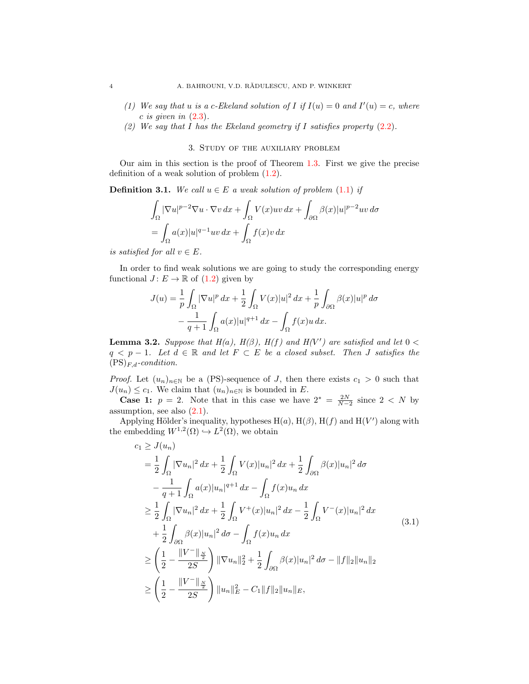- (1) We say that u is a c-Ekeland solution of I if  $I(u) = 0$  and  $I'(u) = c$ , where  $c$  is given in  $(2.3)$ .
- (2) We say that I has the Ekeland geometry if I satisfies property  $(2.2)$ .

## 3. Study of the auxiliary problem

<span id="page-3-0"></span>Our aim in this section is the proof of Theorem [1.3.](#page-1-2) First we give the precise definition of a weak solution of problem [\(1.2\)](#page-1-0).

**Definition 3.1.** We call  $u \in E$  a weak solution of problem [\(1.1\)](#page-0-0) if

$$
\int_{\Omega} |\nabla u|^{p-2} \nabla u \cdot \nabla v \, dx + \int_{\Omega} V(x)uv \, dx + \int_{\partial \Omega} \beta(x)|u|^{p-2}uv \, d\sigma
$$

$$
= \int_{\Omega} a(x)|u|^{q-1}uv \, dx + \int_{\Omega} f(x)v \, dx
$$

is satisfied for all  $v \in E$ .

In order to find weak solutions we are going to study the corresponding energy functional  $J: E \to \mathbb{R}$  of  $(1.2)$  given by

$$
J(u) = \frac{1}{p} \int_{\Omega} |\nabla u|^p dx + \frac{1}{2} \int_{\Omega} V(x)|u|^2 dx + \frac{1}{p} \int_{\partial \Omega} \beta(x)|u|^p d\sigma
$$

$$
- \frac{1}{q+1} \int_{\Omega} a(x)|u|^{q+1} dx - \int_{\Omega} f(x)u dx.
$$

<span id="page-3-2"></span>**Lemma 3.2.** Suppose that  $H(a)$ ,  $H(\beta)$ ,  $H(f)$  and  $H(V')$  are satisfied and let  $0 <$  $q \leq p-1$ . Let  $d \in \mathbb{R}$  and let  $F \subset E$  be a closed subset. Then J satisfies the  $(PS)_{F,d}\text{-}condition.$ 

*Proof.* Let  $(u_n)_{n\in\mathbb{N}}$  be a (PS)-sequence of J, then there exists  $c_1 > 0$  such that  $J(u_n) \leq c_1$ . We claim that  $(u_n)_{n \in \mathbb{N}}$  is bounded in E.

**Case 1:**  $p = 2$ . Note that in this case we have  $2^* = \frac{2N}{N-2}$  since  $2 < N$  by assumption, see also  $(2.1)$ .

Applying Hölder's inequality, hypotheses  $H(a)$ ,  $H(\beta)$ ,  $H(f)$  and  $H(V')$  along with the embedding  $W^{1,2}(\Omega) \hookrightarrow L^2(\Omega)$ , we obtain

<span id="page-3-1"></span>
$$
c_{1} \geq J(u_{n})
$$
\n
$$
= \frac{1}{2} \int_{\Omega} |\nabla u_{n}|^{2} dx + \frac{1}{2} \int_{\Omega} V(x)|u_{n}|^{2} dx + \frac{1}{2} \int_{\partial \Omega} \beta(x)|u_{n}|^{2} d\sigma
$$
\n
$$
- \frac{1}{q+1} \int_{\Omega} a(x)|u_{n}|^{q+1} dx - \int_{\Omega} f(x)u_{n} dx
$$
\n
$$
\geq \frac{1}{2} \int_{\Omega} |\nabla u_{n}|^{2} dx + \frac{1}{2} \int_{\Omega} V^{+}(x)|u_{n}|^{2} dx - \frac{1}{2} \int_{\Omega} V^{-}(x)|u_{n}|^{2} dx
$$
\n
$$
+ \frac{1}{2} \int_{\partial \Omega} \beta(x)|u_{n}|^{2} d\sigma - \int_{\Omega} f(x)u_{n} dx
$$
\n
$$
\geq \left(\frac{1}{2} - \frac{\|V^{-}\|_{\frac{N}{2}}}{2S}\right) \|\nabla u_{n}\|_{2}^{2} + \frac{1}{2} \int_{\partial \Omega} \beta(x)|u_{n}|^{2} d\sigma - \|f\|_{2} \|u_{n}\|_{2}
$$
\n
$$
\geq \left(\frac{1}{2} - \frac{\|V^{-}\|_{\frac{N}{2}}}{2S}\right) \|u_{n}\|_{E}^{2} - C_{1} \|f\|_{2} \|u_{n}\|_{E},
$$
\n(3.1)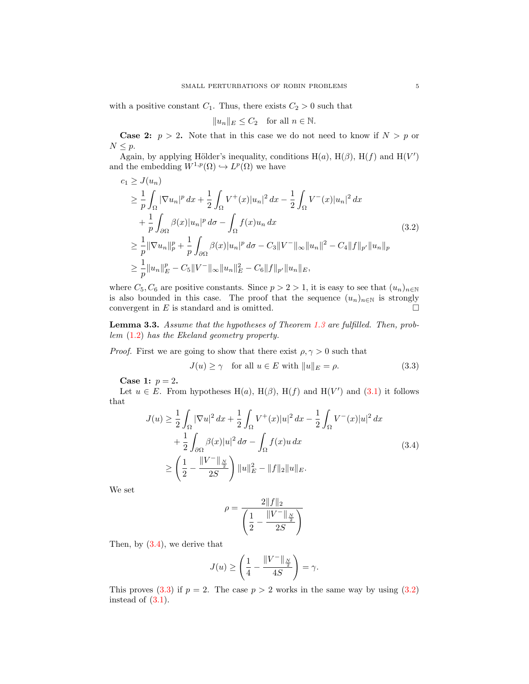with a positive constant  $C_1$ . Thus, there exists  $C_2 > 0$  such that

<span id="page-4-2"></span>
$$
||u_n||_E \le C_2 \quad \text{for all } n \in \mathbb{N}.
$$

**Case 2:**  $p > 2$ . Note that in this case we do not need to know if  $N > p$  or  $N \leq p$ .

Again, by applying Hölder's inequality, conditions  $H(a)$ ,  $H(\beta)$ ,  $H(f)$  and  $H(V')$ and the embedding  $W^{1,p}(\Omega) \hookrightarrow L^p(\Omega)$  we have

$$
c_1 \ge J(u_n)
$$
  
\n
$$
\ge \frac{1}{p} \int_{\Omega} |\nabla u_n|^p dx + \frac{1}{2} \int_{\Omega} V^+(x) |u_n|^2 dx - \frac{1}{2} \int_{\Omega} V^-(x) |u_n|^2 dx
$$
  
\n
$$
+ \frac{1}{p} \int_{\partial \Omega} \beta(x) |u_n|^p d\sigma - \int_{\Omega} f(x) u_n dx
$$
  
\n
$$
\ge \frac{1}{p} ||\nabla u_n||_p^p + \frac{1}{p} \int_{\partial \Omega} \beta(x) |u_n|^p d\sigma - C_3 ||V^-||_{\infty} ||u_n||^2 - C_4 ||f||_{p'} ||u_n||_p
$$
  
\n
$$
\ge \frac{1}{p} ||u_n||_E^p - C_5 ||V^-||_{\infty} ||u_n||_E^2 - C_6 ||f||_{p'} ||u_n||_E,
$$
\n(3.2)

where  $C_5, C_6$  are positive constants. Since  $p > 2 > 1$ , it is easy to see that  $(u_n)_{n \in \mathbb{N}}$ is also bounded in this case. The proof that the sequence  $(u_n)_{n\in\mathbb{N}}$  is strongly convergent in  $E$  is standard and is omitted.  $\hfill \Box$ 

<span id="page-4-3"></span>Lemma 3.3. Assume that the hypotheses of Theorem [1.3](#page-1-2) are fulfilled. Then, problem [\(1.2\)](#page-1-0) has the Ekeland geometry property.

*Proof.* First we are going to show that there exist  $\rho, \gamma > 0$  such that

<span id="page-4-1"></span>
$$
J(u) \ge \gamma \quad \text{for all } u \in E \text{ with } ||u||_E = \rho. \tag{3.3}
$$

**Case 1:**  $p = 2$ .

Let  $u \in E$ . From hypotheses H(a), H( $\beta$ ), H(f) and H(V') and [\(3.1\)](#page-3-1) it follows that

$$
J(u) \geq \frac{1}{2} \int_{\Omega} |\nabla u|^2 dx + \frac{1}{2} \int_{\Omega} V^+(x)|u|^2 dx - \frac{1}{2} \int_{\Omega} V^-(x)|u|^2 dx
$$
  
+ 
$$
\frac{1}{2} \int_{\partial \Omega} \beta(x)|u|^2 d\sigma - \int_{\Omega} f(x)u dx
$$
  

$$
\geq \left(\frac{1}{2} - \frac{\|V^-\|_{\frac{N}{2}}}{2S}\right) \|u\|_E^2 - \|f\|_2 \|u\|_E.
$$
 (3.4)

We set

<span id="page-4-0"></span>
$$
\rho = \frac{2||f||_2}{\left(\frac{1}{2} - \frac{||V^-||_{\frac{N}{2}}}{2S}\right)}
$$

Then, by [\(3.4\)](#page-4-0), we derive that

$$
J(u) \ge \left(\frac{1}{4} - \frac{\|V^-\|_{\frac{N}{2}}}{4S}\right) = \gamma.
$$

This proves [\(3.3\)](#page-4-1) if  $p = 2$ . The case  $p > 2$  works in the same way by using [\(3.2\)](#page-4-2) instead of [\(3.1\)](#page-3-1).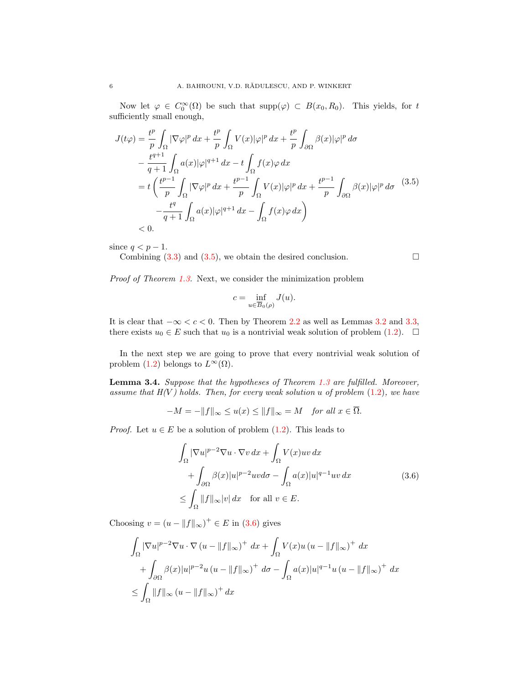Now let  $\varphi \in C_0^{\infty}(\Omega)$  be such that  $\text{supp}(\varphi) \subset B(x_0, R_0)$ . This yields, for t sufficiently small enough,

$$
J(t\varphi) = \frac{t^p}{p} \int_{\Omega} |\nabla \varphi|^p dx + \frac{t^p}{p} \int_{\Omega} V(x) |\varphi|^p dx + \frac{t^p}{p} \int_{\partial \Omega} \beta(x) |\varphi|^p d\sigma
$$
  

$$
- \frac{t^{q+1}}{q+1} \int_{\Omega} a(x) |\varphi|^{q+1} dx - t \int_{\Omega} f(x) \varphi dx
$$
  

$$
= t \left( \frac{t^{p-1}}{p} \int_{\Omega} |\nabla \varphi|^p dx + \frac{t^{p-1}}{p} \int_{\Omega} V(x) |\varphi|^p dx + \frac{t^{p-1}}{p} \int_{\partial \Omega} \beta(x) |\varphi|^p d\sigma
$$
  

$$
- \frac{t^q}{q+1} \int_{\Omega} a(x) |\varphi|^{q+1} dx - \int_{\Omega} f(x) \varphi dx \right)
$$
  
<0.

since  $q < p - 1$ .

Combining  $(3.3)$  and  $(3.5)$ , we obtain the desired conclusion.

Proof of Theorem [1.3.](#page-1-2) Next, we consider the minimization problem

$$
c=\inf_{u\in \overline{B}_0(\rho)}J(u).
$$

It is clear that  $-\infty < c < 0$ . Then by Theorem [2.2](#page-2-1) as well as Lemmas [3.2](#page-3-2) and [3.3,](#page-4-3) there exists  $u_0 \in E$  such that  $u_0$  is a nontrivial weak solution of problem [\(1.2\)](#page-1-0).  $\Box$ 

In the next step we are going to prove that every nontrivial weak solution of problem [\(1.2\)](#page-1-0) belongs to  $L^{\infty}(\Omega)$ .

<span id="page-5-2"></span>Lemma 3.4. Suppose that the hypotheses of Theorem [1.3](#page-1-2) are fulfilled. Moreover, assume that  $H(V)$  holds. Then, for every weak solution u of problem  $(1.2)$ , we have

$$
-M = -\|f\|_{\infty} \le u(x) \le \|f\|_{\infty} = M \quad \text{for all } x \in \overline{\Omega}.
$$

*Proof.* Let  $u \in E$  be a solution of problem  $(1.2)$ . This leads to

$$
\int_{\Omega} |\nabla u|^{p-2} \nabla u \cdot \nabla v \, dx + \int_{\Omega} V(x)uv \, dx \n+ \int_{\partial \Omega} \beta(x)|u|^{p-2} uv d\sigma - \int_{\Omega} a(x)|u|^{q-1} uv \, dx \n\leq \int_{\Omega} ||f||_{\infty} |v| \, dx \quad \text{for all } v \in E.
$$
\n(3.6)

Choosing  $v = (u - ||f||_{\infty})^+ \in E$  in [\(3.6\)](#page-5-1) gives

$$
\int_{\Omega} |\nabla u|^{p-2} \nabla u \cdot \nabla (u - \|f\|_{\infty})^{+} dx + \int_{\Omega} V(x) u (u - \|f\|_{\infty})^{+} dx
$$
  
+ 
$$
\int_{\partial \Omega} \beta(x) |u|^{p-2} u (u - \|f\|_{\infty})^{+} d\sigma - \int_{\Omega} a(x) |u|^{q-1} u (u - \|f\|_{\infty})^{+} dx
$$
  

$$
\leq \int_{\Omega} \|f\|_{\infty} (u - \|f\|_{\infty})^{+} dx
$$

<span id="page-5-1"></span><span id="page-5-0"></span>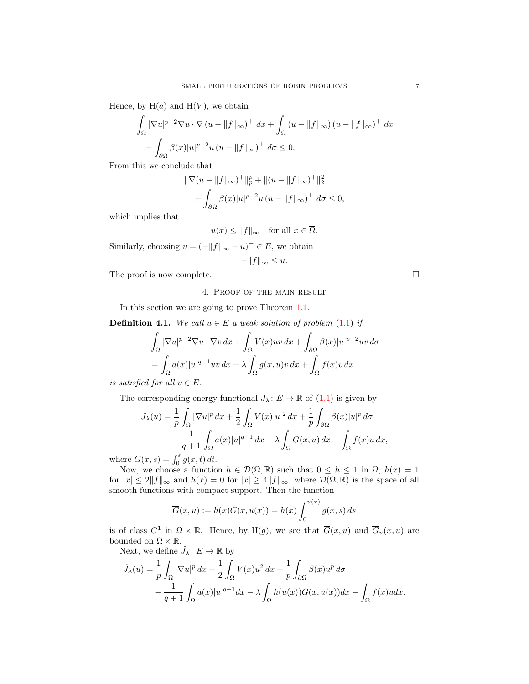Hence, by  $H(a)$  and  $H(V)$ , we obtain

$$
\int_{\Omega} |\nabla u|^{p-2} \nabla u \cdot \nabla (u - \|f\|_{\infty})^+ dx + \int_{\Omega} (u - \|f\|_{\infty}) (u - \|f\|_{\infty})^+ dx
$$

$$
+ \int_{\partial \Omega} \beta(x) |u|^{p-2} u (u - \|f\|_{\infty})^+ d\sigma \le 0.
$$

From this we conclude that

$$
\|\nabla(u - \|f\|_{\infty})^{+}\|_{p}^{p} + \|(u - \|f\|_{\infty})^{+}\|_{2}^{2} + \int_{\partial\Omega} \beta(x)|u|^{p-2}u(u - \|f\|_{\infty})^{+} d\sigma \le 0,
$$

which implies that

$$
u(x) \le ||f||_{\infty}
$$
 for all  $x \in \overline{\Omega}$ .

Similarly, choosing  $v = (-||f||_{\infty} - u)^{+} \in E$ , we obtain

$$
-\|f\|_{\infty} \leq u.
$$

<span id="page-6-0"></span>The proof is now complete.

### 4. Proof of the main result

In this section we are going to prove Theorem [1.1.](#page-1-1)

**Definition 4.1.** We call  $u \in E$  a weak solution of problem [\(1.1\)](#page-0-0) if

$$
\int_{\Omega} |\nabla u|^{p-2} \nabla u \cdot \nabla v \, dx + \int_{\Omega} V(x)uv \, dx + \int_{\partial \Omega} \beta(x)|u|^{p-2}uv \, d\sigma
$$

$$
= \int_{\Omega} a(x)|u|^{q-1}uv \, dx + \lambda \int_{\Omega} g(x,u)v \, dx + \int_{\Omega} f(x)v \, dx
$$

is satisfied for all  $v \in E$ .

The corresponding energy functional  $J_{\lambda} : E \to \mathbb{R}$  of  $(1.1)$  is given by

$$
J_{\lambda}(u) = \frac{1}{p} \int_{\Omega} |\nabla u|^p dx + \frac{1}{2} \int_{\Omega} V(x)|u|^2 dx + \frac{1}{p} \int_{\partial \Omega} \beta(x)|u|^p d\sigma
$$
  

$$
- \frac{1}{q+1} \int_{\Omega} a(x)|u|^{q+1} dx - \lambda \int_{\Omega} G(x, u) dx - \int_{\Omega} f(x)u dx,
$$

where  $G(x, s) = \int_0^s g(x, t) dt$ .

Now, we choose a function  $h \in \mathcal{D}(\Omega, \mathbb{R})$  such that  $0 \leq h \leq 1$  in  $\Omega$ ,  $h(x) = 1$ for  $|x| \le 2||f||_{\infty}$  and  $h(x) = 0$  for  $|x| \ge 4||f||_{\infty}$ , where  $\mathcal{D}(\Omega,\mathbb{R})$  is the space of all smooth functions with compact support. Then the function

$$
\overline{G}(x, u) := h(x)G(x, u(x)) = h(x) \int_0^{u(x)} g(x, s) ds
$$

is of class  $C^1$  in  $\Omega \times \mathbb{R}$ . Hence, by  $H(g)$ , we see that  $\overline{G}(x, u)$  and  $\overline{G}_u(x, u)$  are bounded on  $\Omega \times \mathbb{R}$ .

Next, we define  $\hat{J}_{\lambda} \colon E \to \mathbb{R}$  by

$$
\hat{J}_{\lambda}(u) = \frac{1}{p} \int_{\Omega} |\nabla u|^p dx + \frac{1}{2} \int_{\Omega} V(x) u^2 dx + \frac{1}{p} \int_{\partial \Omega} \beta(x) u^p d\sigma
$$

$$
- \frac{1}{q+1} \int_{\Omega} a(x) |u|^{q+1} dx - \lambda \int_{\Omega} h(u(x)) G(x, u(x)) dx - \int_{\Omega} f(x) u dx.
$$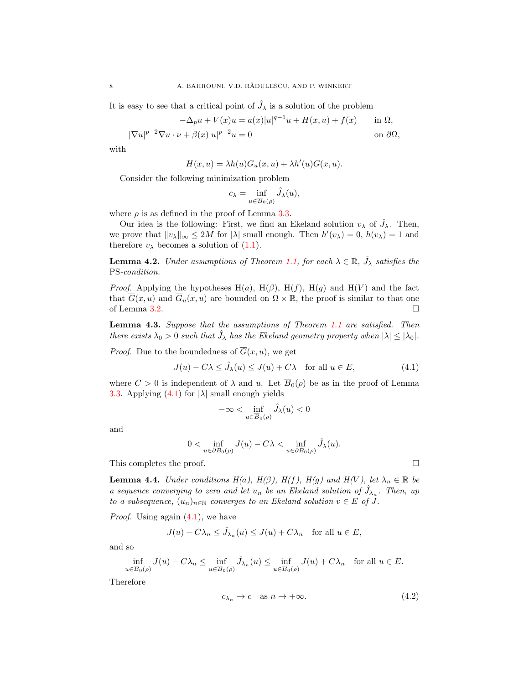It is easy to see that a critical point of  $\hat{J}_{\lambda}$  is a solution of the problem

$$
-\Delta_p u + V(x)u = a(x)|u|^{q-1}u + H(x, u) + f(x) \quad \text{in } \Omega,
$$

$$
|\nabla u|^{p-2}\nabla u \cdot \nu + \beta(x)|u|^{p-2}u = 0
$$
 on  $\partial \Omega$ ,

with

$$
H(x, u) = \lambda h(u)G_u(x, u) + \lambda h'(u)G(x, u).
$$

Consider the following minimization problem

$$
c_{\lambda} = \inf_{u \in \overline{B}_0(\rho)} \hat{J}_{\lambda}(u),
$$

where  $\rho$  is as defined in the proof of Lemma [3.3.](#page-4-3)

Our idea is the following: First, we find an Ekeland solution  $v_{\lambda}$  of  $\hat{J}_{\lambda}$ . Then, we prove that  $||v_\lambda||_\infty \le 2M$  for  $|\lambda|$  small enough. Then  $h'(v_\lambda) = 0$ ,  $h(v_\lambda) = 1$  and therefore  $v_{\lambda}$  becomes a solution of  $(1.1)$ .

<span id="page-7-4"></span>**Lemma 4.2.** Under assumptions of Theorem [1.1,](#page-1-1) for each  $\lambda \in \mathbb{R}$ ,  $\hat{J}_{\lambda}$  satisfies the PS-condition.

*Proof.* Applying the hypotheses H(a), H( $\beta$ ), H( $f$ ), H( $g$ ) and H( $V$ ) and the fact that  $\overline{G}(x, u)$  and  $\overline{G}_u(x, u)$  are bounded on  $\Omega \times \mathbb{R}$ , the proof is similar to that one of Lemma [3.2.](#page-3-2)  $\Box$ 

<span id="page-7-3"></span>Lemma 4.3. Suppose that the assumptions of Theorem [1.1](#page-0-0) are satisfied. Then there exists  $\lambda_0 > 0$  such that  $\hat{J}_\lambda$  has the Ekeland geometry property when  $|\lambda| \leq |\lambda_0|$ .

*Proof.* Due to the boundedness of  $\overline{G}(x, u)$ , we get

$$
J(u) - C\lambda \le \hat{J}_{\lambda}(u) \le J(u) + C\lambda \quad \text{for all } u \in E,
$$
\n(4.1)

where  $C > 0$  is independent of  $\lambda$  and u. Let  $\overline{B}_0(\rho)$  be as in the proof of Lemma [3.3.](#page-4-3) Applying  $(4.1)$  for  $|\lambda|$  small enough yields

$$
-\infty < \inf_{u \in \overline{B}_0(\rho)} \hat{J}_{\lambda}(u) < 0
$$

and

$$
0 < \inf_{u \in \partial B_0(\rho)} J(u) - C\lambda < \inf_{u \in \partial B_0(\rho)} \hat{J}_\lambda(u).
$$

This completes the proof.  $\Box$ 

<span id="page-7-2"></span>**Lemma 4.4.** Under conditions  $H(a)$ ,  $H(\beta)$ ,  $H(f)$ ,  $H(g)$  and  $H(V)$ , let  $\lambda_n \in \mathbb{R}$  be a sequence converging to zero and let  $u_n$  be an Ekeland solution of  $\hat{J}_{\lambda_n}$ . Then, up to a subsequence,  $(u_n)_{n\in\mathbb{N}}$  converges to an Ekeland solution  $v \in E$  of J.

*Proof.* Using again  $(4.1)$ , we have

$$
J(u) - C\lambda_n \le \hat{J}_{\lambda_n}(u) \le J(u) + C\lambda_n \quad \text{for all } u \in E,
$$

and so

$$
\inf_{u \in \overline{B}_0(\rho)} J(u) - C\lambda_n \le \inf_{u \in \overline{B}_0(\rho)} \hat{J}_{\lambda_n}(u) \le \inf_{u \in \overline{B}_0(\rho)} J(u) + C\lambda_n \quad \text{for all } u \in E.
$$

Therefore

$$
c_{\lambda_n} \to c \quad \text{as } n \to +\infty. \tag{4.2}
$$

<span id="page-7-1"></span><span id="page-7-0"></span>
$$
\qquad \qquad \Box
$$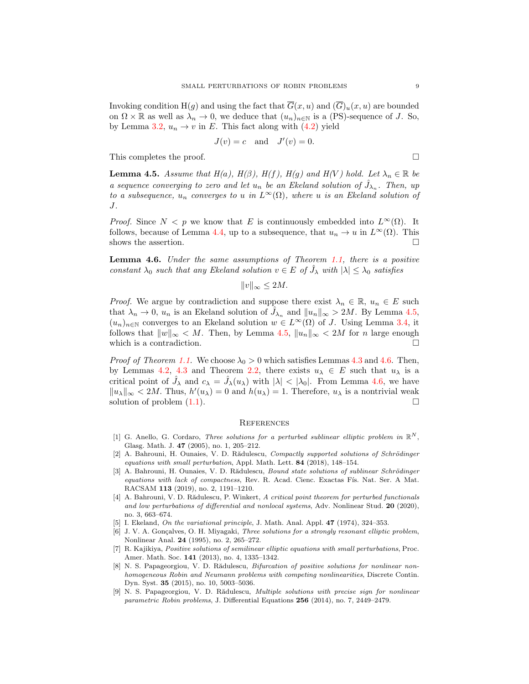Invoking condition H(g) and using the fact that  $\overline{G}(x, u)$  and  $(\overline{G})_u(x, u)$  are bounded on  $\Omega \times \mathbb{R}$  as well as  $\lambda_n \to 0$ , we deduce that  $(u_n)_{n \in \mathbb{N}}$  is a (PS)-sequence of J. So, by Lemma [3.2,](#page-3-2)  $u_n \to v$  in E. This fact along with [\(4.2\)](#page-7-1) yield

$$
J(v) = c \quad \text{and} \quad J'(v) = 0.
$$

This completes the proof.

<span id="page-8-9"></span>**Lemma 4.5.** Assume that  $H(a)$ ,  $H(\beta)$ ,  $H(f)$ ,  $H(g)$  and  $H(V)$  hold. Let  $\lambda_n \in \mathbb{R}$  be a sequence converging to zero and let  $u_n$  be an Ekeland solution of  $\hat{J}_{\lambda_n}$ . Then, up to a subsequence,  $u_n$  converges to u in  $L^{\infty}(\Omega)$ , where u is an Ekeland solution of J.

*Proof.* Since  $N < p$  we know that E is continuously embedded into  $L^{\infty}(\Omega)$ . It follows, because of Lemma [4.4,](#page-7-2) up to a subsequence, that  $u_n \to u$  in  $L^{\infty}(\Omega)$ . This shows the assertion.  $\hfill \square$ 

<span id="page-8-10"></span>Lemma 4.6. Under the same assumptions of Theorem [1.1,](#page-0-0) there is a positive constant  $\lambda_0$  such that any Ekeland solution  $v \in E$  of  $\hat{J}_\lambda$  with  $|\lambda| \leq \lambda_0$  satisfies

$$
||v||_{\infty} \le 2M.
$$

*Proof.* We argue by contradiction and suppose there exist  $\lambda_n \in \mathbb{R}$ ,  $u_n \in E$  such that  $\lambda_n \to 0$ ,  $u_n$  is an Ekeland solution of  $\hat{J}_{\lambda_n}$  and  $||u_n||_{\infty} > 2M$ . By Lemma [4.5,](#page-8-9)  $(u_n)_{n\in\mathbb{N}}$  converges to an Ekeland solution  $w \in L^{\infty}(\Omega)$  of J. Using Lemma [3.4,](#page-5-2) it follows that  $||w||_{\infty} < M$ . Then, by Lemma [4.5,](#page-8-9)  $||u_n||_{\infty} < 2M$  for n large enough which is a contradiction.  $\Box$ 

*Proof of Theorem [1.1.](#page-0-0)* We choose  $\lambda_0 > 0$  which satisfies Lemmas [4.3](#page-7-3) and [4.6.](#page-8-10) Then, by Lemmas [4.2,](#page-7-4) [4.3](#page-7-3) and Theorem [2.2,](#page-2-1) there exists  $u_{\lambda} \in E$  such that  $u_{\lambda}$  is a critical point of  $\hat{J}_{\lambda}$  and  $c_{\lambda} = \hat{J}_{\lambda}(u_{\lambda})$  with  $|\lambda| < |\lambda_0|$ . From Lemma [4.6,](#page-8-10) we have  $||u_\lambda||_\infty < 2M$ . Thus,  $h'(u_\lambda) = 0$  and  $h(u_\lambda) = 1$ . Therefore,  $u_\lambda$  is a nontrivial weak solution of problem  $(1.1)$ .

#### **REFERENCES**

- <span id="page-8-0"></span>[1] G. Anello, G. Cordaro, Three solutions for a perturbed sublinear elliptic problem in  $\mathbb{R}^N$ , Glasg. Math. J. 47 (2005), no. 1, 205–212.
- <span id="page-8-3"></span>[2] A. Bahrouni, H. Ounaies, V. D. Rădulescu, Compactly supported solutions of Schrödinger equations with small perturbation, Appl. Math. Lett. 84 (2018), 148–154.
- <span id="page-8-4"></span>[3] A. Bahrouni, H. Ounaies, V. D. Rădulescu, Bound state solutions of sublinear Schrödinger equations with lack of compactness, Rev. R. Acad. Cienc. Exactas Fís. Nat. Ser. A Mat. RACSAM 113 (2019), no. 2, 1191–1210.
- <span id="page-8-5"></span>[4] A. Bahrouni, V. D. Rădulescu, P. Winkert, A critical point theorem for perturbed functionals and low perturbations of differential and nonlocal systems, Adv. Nonlinear Stud. 20 (2020), no. 3, 663–674.
- <span id="page-8-7"></span>[5] I. Ekeland, On the variational principle, J. Math. Anal. Appl. 47 (1974), 324-353.
- <span id="page-8-8"></span>[6] J. V. A. Gonçalves, O. H. Miyagaki, *Three solutions for a strongly resonant elliptic problem*, Nonlinear Anal. 24 (1995), no. 2, 265–272.
- <span id="page-8-6"></span>[7] R. Kajikiya, Positive solutions of semilinear elliptic equations with small perturbations, Proc. Amer. Math. Soc. 141 (2013), no. 4, 1335–1342.
- <span id="page-8-1"></span>[8] N. S. Papageorgiou, V. D. Rădulescu, Bifurcation of positive solutions for nonlinear nonhomogeneous Robin and Neumann problems with competing nonlinearities, Discrete Contin. Dyn. Syst. 35 (2015), no. 10, 5003–5036.
- <span id="page-8-2"></span>[9] N. S. Papageorgiou, V. D. Rădulescu, Multiple solutions with precise sign for nonlinear parametric Robin problems, J. Differential Equations 256 (2014), no. 7, 2449–2479.